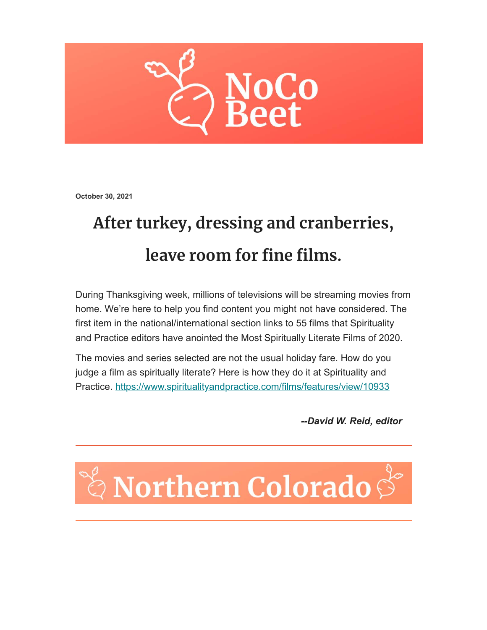

**October 30, 2021**

## **After turkey, dressing and cranberries, leave room for fine films.**

During Thanksgiving week, millions of televisions will be streaming movies from home. We're here to help you find content you might not have considered. The first item in the national/international section links to 55 films that Spirituality and Practice editors have anointed the Most Spiritually Literate Films of 2020.

The movies and series selected are not the usual holiday fare. How do you judge a film as spiritually literate? Here is how they do it at Spirituality and Practice.<https://www.spiritualityandpractice.com/films/features/view/10933>

*--David W. Reid, editor*

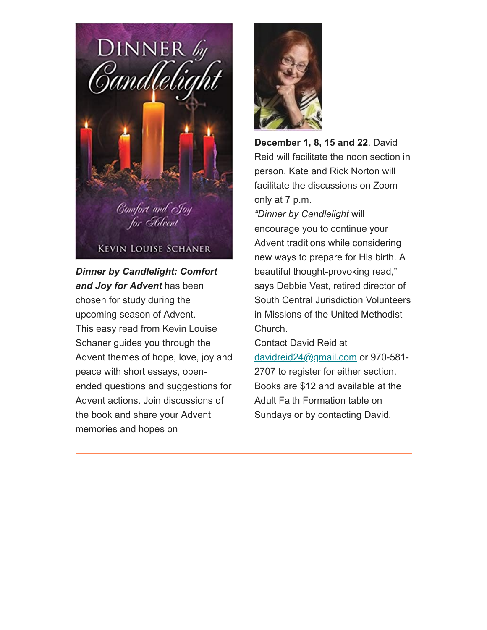

*Dinner by Candlelight: Comfort and Joy for Advent* has been chosen for study during the upcoming season of Advent. This easy read from Kevin Louise Schaner guides you through the Advent themes of hope, love, joy and peace with short essays, openended questions and suggestions for Advent actions. Join discussions of the book and share your Advent memories and hopes on



**December 1, 8, 15 and 22**. David Reid will facilitate the noon section in person. Kate and Rick Norton will facilitate the discussions on Zoom only at 7 p.m.

*"Dinner by Candlelight* will encourage you to continue your Advent traditions while considering new ways to prepare for His birth. A beautiful thought-provoking read," says Debbie Vest, retired director of South Central Jurisdiction Volunteers in Missions of the United Methodist Church.

Contact David Reid at [davidreid24@gmail.com](mailto:davidreid24@gmail.com) or 970-581- 2707 to register for either section. Books are \$12 and available at the Adult Faith Formation table on Sundays or by contacting David.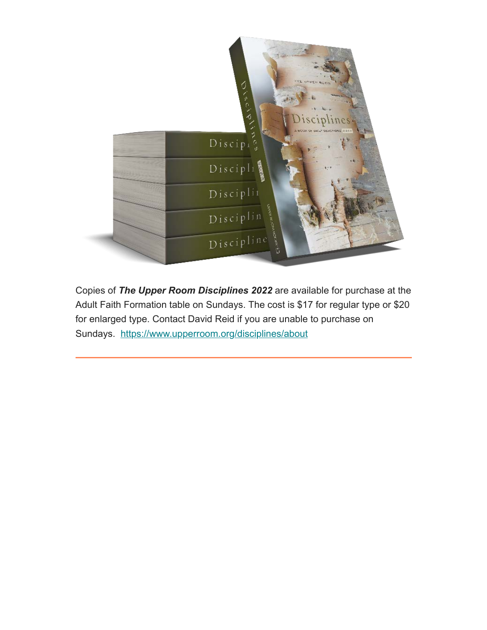

Copies of *The Upper Room Disciplines 2022* are available for purchase at the Adult Faith Formation table on Sundays. The cost is \$17 for regular type or \$20 for enlarged type. Contact David Reid if you are unable to purchase on Sundays. <https://www.upperroom.org/disciplines/about>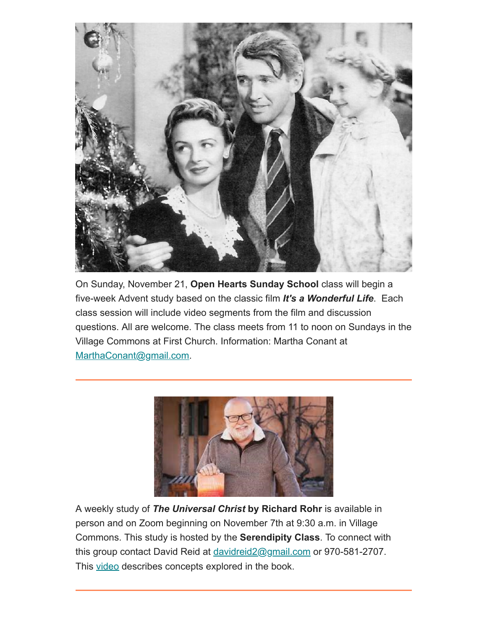

On Sunday, November 21, **Open Hearts Sunday School** class will begin a five-week Advent study based on the classic film *It's a Wonderful Life*. Each class session will include video segments from the film and discussion questions. All are welcome. The class meets from 11 to noon on Sundays in the Village Commons at First Church. Information: Martha Conant at [MarthaConant@gmail.com.](mailto:MarthaConant@gmail.com)



A weekly study of *The Universal Christ* **by Richard Rohr** is available in person and on Zoom beginning on November 7th at 9:30 a.m. in Village Commons. This study is hosted by the **Serendipity Class**. To connect with this group contact David Reid at davidreid 2@gmail.com or 970-581-2707. This [video](https://www.youtube.com/watch?v=TcoN2K5aIkU) describes concepts explored in the book.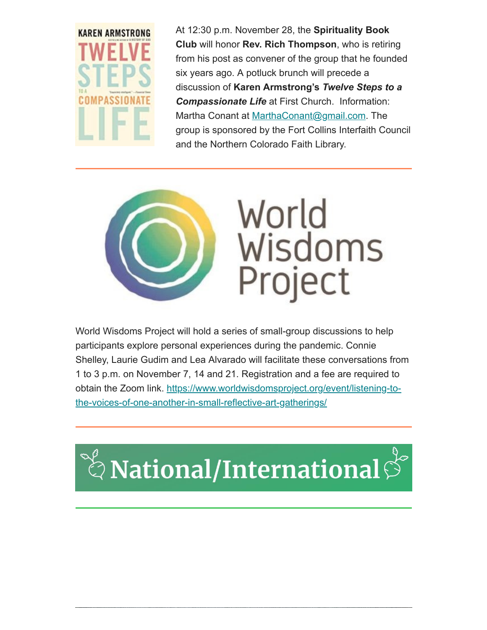

At 12:30 p.m. November 28, the **Spirituality Book Club** will honor **Rev. Rich Thompson**, who is retiring from his post as convener of the group that he founded six years ago. A potluck brunch will precede a discussion of **Karen Armstrong's** *Twelve Steps to a Compassionate Life* at First Church. Information: Martha Conant at [MarthaConant@gmail.com.](mailto:MarthaConant@gmail.com) The group is sponsored by the Fort Collins Interfaith Council and the Northern Colorado Faith Library.



World Wisdoms Project will hold a series of small-group discussions to help participants explore personal experiences during the pandemic. Connie Shelley, Laurie Gudim and Lea Alvarado will facilitate these conversations from 1 to 3 p.m. on November 7, 14 and 21. Registration and a fee are required to [obtain the Zoom link. https://www.worldwisdomsproject.org/event/listening-to](https://www.worldwisdomsproject.org/event/listening-to-the-voices-of-one-another-in-small-reflective-art-gatherings/)the-voices-of-one-another-in-small-reflective-art-gatherings/

## ី $\stackrel{\scriptscriptstyle\rm o}{\otimes}$ National/International $\stackrel{\scriptscriptstyle\rm o}{\otimes}$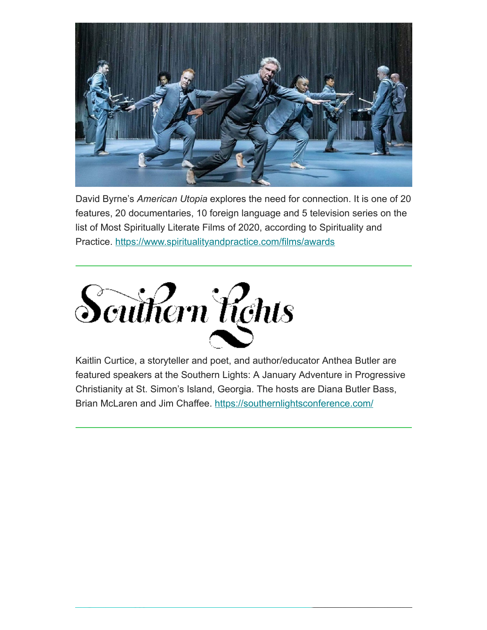

David Byrne's *American Utopia* explores the need for connection. It is one of 20 features, 20 documentaries, 10 foreign language and 5 television series on the list of Most Spiritually Literate Films of 2020, according to Spirituality and Practice.<https://www.spiritualityandpractice.com/films/awards>



Kaitlin Curtice, a storyteller and poet, and author/educator Anthea Butler are featured speakers at the Southern Lights: A January Adventure in Progressive Christianity at St. Simon's Island, Georgia. The hosts are Diana Butler Bass, Brian McLaren and Jim Chaffee.<https://southernlightsconference.com/>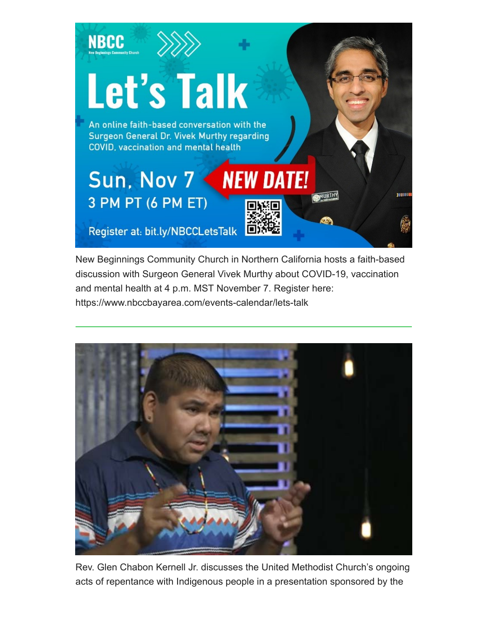

New Beginnings Community Church in Northern California hosts a faith-based discussion with Surgeon General Vivek Murthy about COVID-19, vaccination and mental health at 4 p.m. MST November 7. Register here: https://www.nbccbayarea.com/events-calendar/lets-talk



Rev. Glen Chabon Kernell Jr. discusses the United Methodist Church's ongoing acts of repentance with Indigenous people in a presentation sponsored by the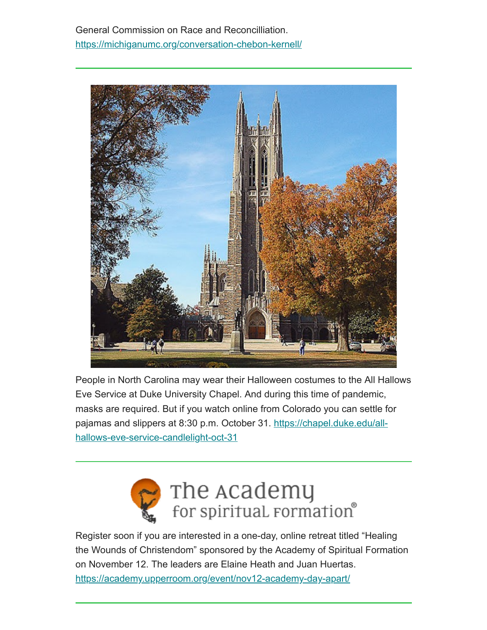General Commission on Race and Reconcilliation. <https://michiganumc.org/conversation-chebon-kernell/>



People in North Carolina may wear their Halloween costumes to the All Hallows Eve Service at Duke University Chapel. And during this time of pandemic, masks are required. But if you watch online from Colorado you can settle for [pajamas and slippers at 8:30 p.m. October 31. https://chapel.duke.edu/all](https://chapel.duke.edu/all-hallows-eve-service-candlelight-oct-31)hallows-eve-service-candlelight-oct-31



Register soon if you are interested in a one-day, online retreat titled "Healing the Wounds of Christendom" sponsored by the Academy of Spiritual Formation on November 12. The leaders are Elaine Heath and Juan Huertas. <https://academy.upperroom.org/event/nov12-academy-day-apart/>